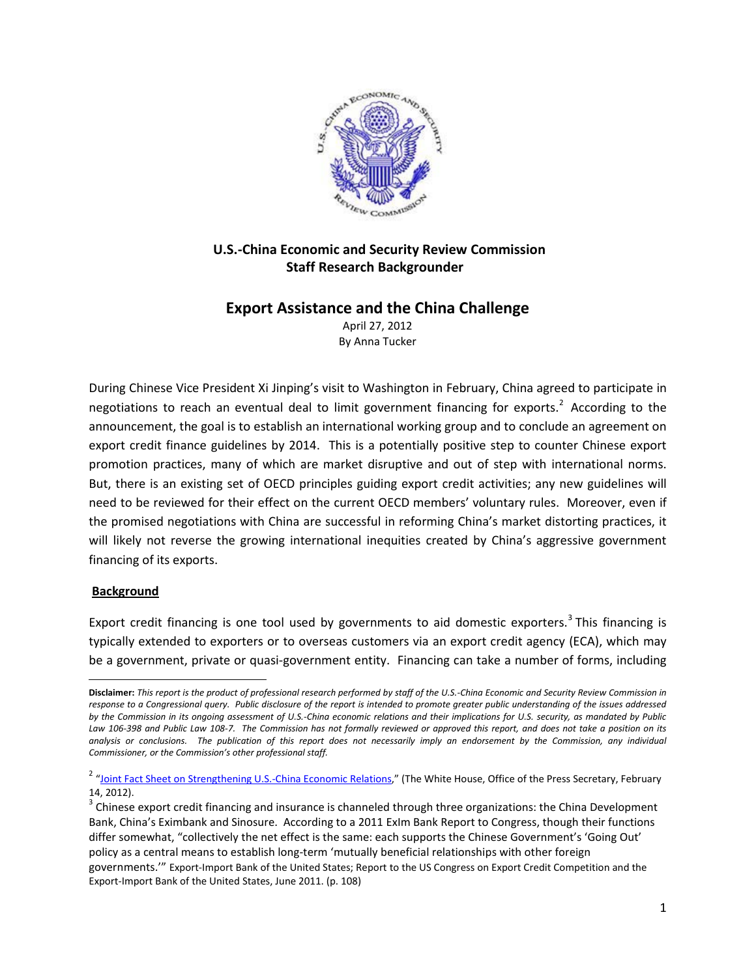

# **U.S.-China Economic and Security Review Commission Staff Research Backgrounder**

## **Export Assistance and the China Challenge**

April 27, 2012 By Anna Tucker

During Chinese Vice President Xi Jinping's visit to Washington in February, China agreed to participate in negotiations to reach an eventual deal to limit government financing for exports.<sup>[2](#page-0-1)</sup> According to the announcement, the goal is to establish an international working group and to conclude an agreement on export credit finance guidelines by 2014. This is a potentially positive step to counter Chinese export promotion practices, many of which are market disruptive and out of step with international norms. But, there is an existing set of OECD principles guiding export credit activities; any new guidelines will need to be reviewed for their effect on the current OECD members' voluntary rules. Moreover, even if the promised negotiations with China are successful in reforming China's market distorting practices, it will likely not reverse the growing international inequities created by China's aggressive government financing of its exports.

### **Background**

 $\overline{\phantom{a}}$ 

Export credit financing is one tool used by governments to aid domestic exporters.<sup>[3](#page-0-2)</sup> This financing is typically extended to exporters or to overseas customers via an export credit agency (ECA), which may be a government, private or quasi-government entity. Financing can take a number of forms, including

<span id="page-0-0"></span>**Disclaimer:** *This report is the product of professional research performed by staff of the U.S.-China Economic and Security Review Commission in response to a Congressional query. Public disclosure of the report is intended to promote greater public understanding of the issues addressed by the Commission in its ongoing assessment of U.S.-China economic relations and their implications for U.S. security, as mandated by Public Law 106-398 and Public Law 108-7. The Commission has not formally reviewed or approved this report, and does not take a position on its analysis or conclusions. The publication of this report does not necessarily imply an endorsement by the Commission, any individual Commissioner, or the Commission's other professional staff.*

<span id="page-0-1"></span><sup>&</sup>lt;sup>2</sup> ["Joint Fact Sheet on Strengthening U.S.-China Economic Relations,"](http://www.whitehouse.gov/the-press-office/2012/02/14/joint-fact-sheet-strengthening-us-china-economic-relations) (The White House, Office of the Press Secretary, February 14, 2012).<br> $3$  Chinese export credit financing and insurance is channeled through three organizations: the China Development

<span id="page-0-2"></span>Bank, China's Eximbank and Sinosure. According to a 2011 ExIm Bank Report to Congress, though their functions differ somewhat, "collectively the net effect is the same: each supports the Chinese Government's 'Going Out' policy as a central means to establish long-term 'mutually beneficial relationships with other foreign governments.'" Export-Import Bank of the United States; Report to the US Congress on Export Credit Competition and the Export-Import Bank of the United States, June 2011. (p. 108)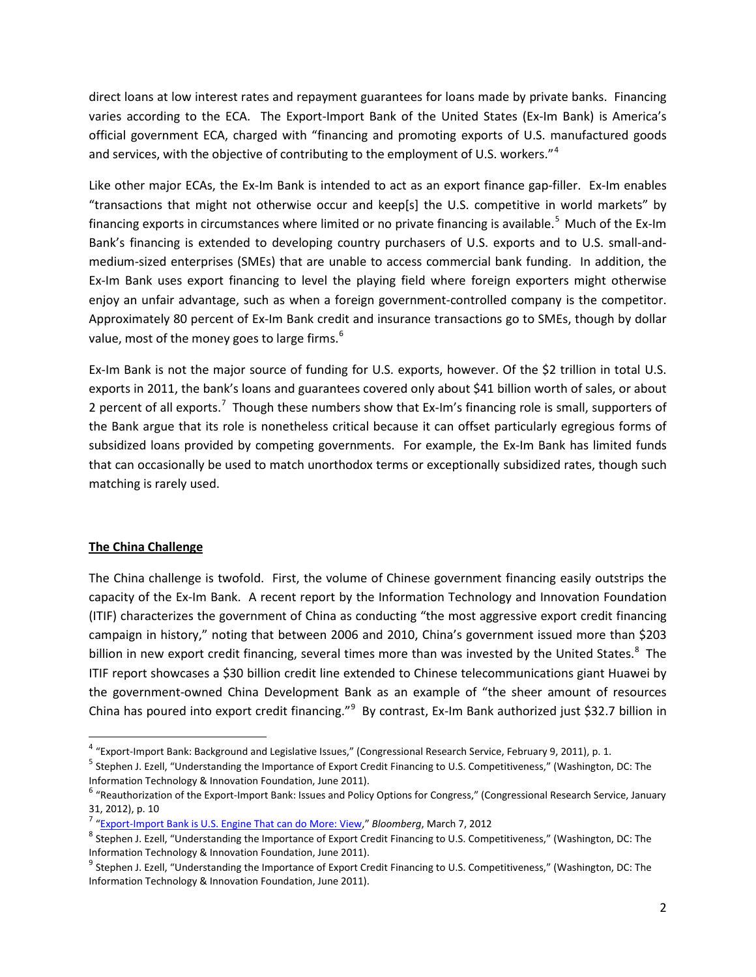direct loans at low interest rates and repayment guarantees for loans made by private banks. Financing varies according to the ECA. The Export-Import Bank of the United States (Ex-Im Bank) is America's official government ECA, charged with "financing and promoting exports of U.S. manufactured goods and services, with the objective of contributing to the employment of U.S. workers."<sup>[4](#page-1-0)</sup>

Like other major ECAs, the Ex-Im Bank is intended to act as an export finance gap-filler. Ex-Im enables "transactions that might not otherwise occur and keep[s] the U.S. competitive in world markets" by financing exports in circumstances where limited or no private financing is available.<sup>[5](#page-1-1)</sup> Much of the Ex-Im Bank's financing is extended to developing country purchasers of U.S. exports and to U.S. small-andmedium-sized enterprises (SMEs) that are unable to access commercial bank funding. In addition, the Ex-Im Bank uses export financing to level the playing field where foreign exporters might otherwise enjoy an unfair advantage, such as when a foreign government-controlled company is the competitor. Approximately 80 percent of Ex-Im Bank credit and insurance transactions go to SMEs, though by dollar value, most of the money goes to large firms.<sup>[6](#page-1-2)</sup>

Ex-Im Bank is not the major source of funding for U.S. exports, however. Of the \$2 trillion in total U.S. exports in 2011, the bank's loans and guarantees covered only about \$41 billion worth of sales, or about 2 percent of all exports.<sup>[7](#page-1-3)</sup> Though these numbers show that Ex-Im's financing role is small, supporters of the Bank argue that its role is nonetheless critical because it can offset particularly egregious forms of subsidized loans provided by competing governments. For example, the Ex-Im Bank has limited funds that can occasionally be used to match unorthodox terms or exceptionally subsidized rates, though such matching is rarely used.

## **The China Challenge**

The China challenge is twofold. First, the volume of Chinese government financing easily outstrips the capacity of the Ex-Im Bank. A recent report by the Information Technology and Innovation Foundation (ITIF) characterizes the government of China as conducting "the most aggressive export credit financing campaign in history," noting that between 2006 and 2010, China's government issued more than \$203 billion in new export credit financing, several times more than was invested by the United States.<sup>[8](#page-1-4)</sup> The ITIF report showcases a \$30 billion credit line extended to Chinese telecommunications giant Huawei by the government-owned China Development Bank as an example of "the sheer amount of resources China has poured into export credit financing."<sup>[9](#page-1-5)</sup> By contrast, Ex-Im Bank authorized just \$32.7 billion in

<span id="page-1-0"></span> <sup>4</sup> "Export-Import Bank: Background and Legislative Issues," (Congressional Research Service, February 9, 2011), p. 1.

<span id="page-1-1"></span><sup>&</sup>lt;sup>5</sup> Stephen J. Ezell, "Understanding the Importance of Export Credit Financing to U.S. Competitiveness," (Washington, DC: The Information Technology & Innovation Foundation, June 2011).

<span id="page-1-2"></span><sup>&</sup>lt;sup>6</sup> "Reauthorization of the Export-Import Bank: Issues and Policy Options for Congress," (Congressional Research Service, January 31, 2012), p. 10<br><sup>7</sup> "Export-Import Bank is U.S. Engine That can do More: View," Bloomberg, March 7, 2012<br><sup>8</sup> Stephen J. Ezell, "Understanding the Importance of Export Credit Financing to U.S. Competitiveness," (Washington

<span id="page-1-3"></span>

<span id="page-1-4"></span>Information Technology & Innovation Foundation, June 2011).

<span id="page-1-5"></span> $^9$  Stephen J. Ezell, "Understanding the Importance of Export Credit Financing to U.S. Competitiveness," (Washington, DC: The Information Technology & Innovation Foundation, June 2011).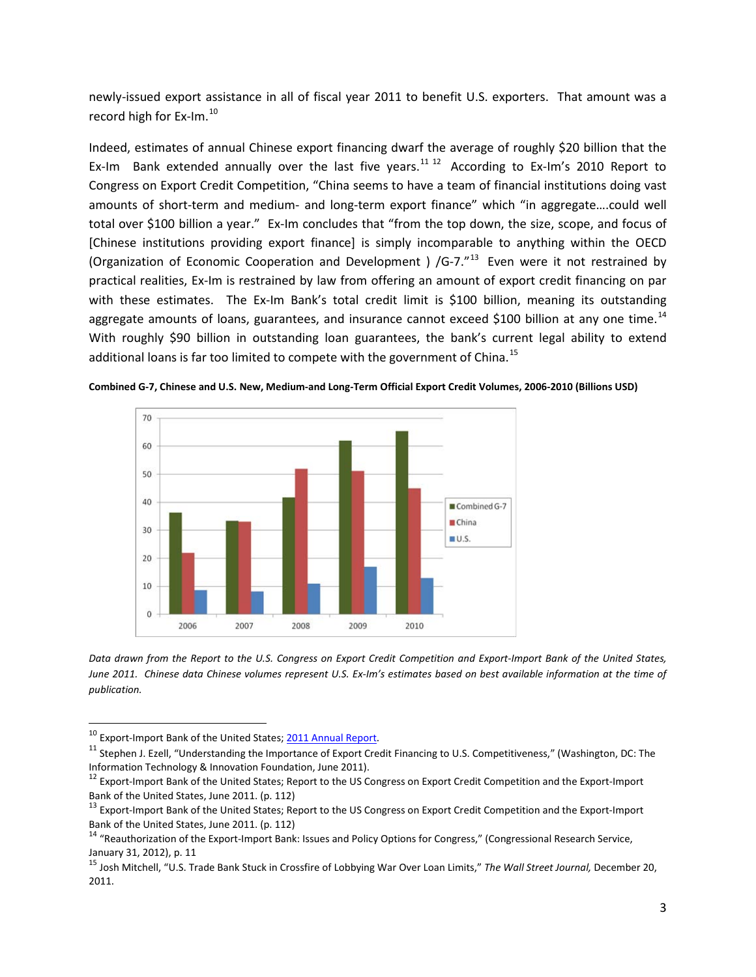newly-issued export assistance in all of fiscal year 2011 to benefit U.S. exporters. That amount was a record high for Ex-Im.<sup>[10](#page-2-0)</sup>

Indeed, estimates of annual Chinese export financing dwarf the average of roughly \$20 billion that the Ex-Im Bank extended annually over the last five years.<sup>[11](#page-2-1) [12](#page-2-2)</sup> According to Ex-Im's 2010 Report to Congress on Export Credit Competition, "China seems to have a team of financial institutions doing vast amounts of short-term and medium- and long-term export finance" which "in aggregate….could well total over \$100 billion a year." Ex-Im concludes that "from the top down, the size, scope, and focus of [Chinese institutions providing export finance] is simply incomparable to anything within the OECD (Organization of Economic Cooperation and Development ) /G-7. $n^{13}$  Even were it not restrained by practical realities, Ex-Im is restrained by law from offering an amount of export credit financing on par with these estimates. The Ex-Im Bank's total credit limit is \$100 billion, meaning its outstanding aggregate amounts of loans, guarantees, and insurance cannot exceed \$100 billion at any one time.<sup>[14](#page-2-4)</sup> With roughly \$90 billion in outstanding loan guarantees, the bank's current legal ability to extend additional loans is far too limited to compete with the government of China.<sup>[15](#page-2-5)</sup>



**Combined G-7, Chinese and U.S. New, Medium-and Long-Term Official Export Credit Volumes, 2006-2010 (Billions USD)**

*Data drawn from the Report to the U.S. Congress on Export Credit Competition and Export-Import Bank of the United States, June 2011. Chinese data Chinese volumes represent U.S. Ex-Im's estimates based on best available information at the time of publication.*

<span id="page-2-1"></span><span id="page-2-0"></span><sup>&</sup>lt;sup>10</sup> Export-Import Bank of the United States; 2011 Annual Report.<br><sup>11</sup> Stephen J. Ezell, "Understanding the Importance of Export Credit Financing to U.S. Competitiveness," (Washington, DC: The Information Technology & Innovation Foundation, June 2011).

<span id="page-2-2"></span><sup>&</sup>lt;sup>12</sup> Export-Import Bank of the United States; Report to the US Congress on Export Credit Competition and the Export-Import Bank of the United States, June 2011. (p. 112)

<span id="page-2-3"></span><sup>&</sup>lt;sup>13</sup> Export-Import Bank of the United States; Report to the US Congress on Export Credit Competition and the Export-Import Bank of the United States, June 2011. (p. 112)<br><sup>14</sup> "Reauthorization of the Export-Import Bank: Issues and Policy Options for Congress," (Congressional Research Service,

<span id="page-2-4"></span>January 31, 2012), p. 11

<span id="page-2-5"></span><sup>15</sup> Josh Mitchell, "U.S. Trade Bank Stuck in Crossfire of Lobbying War Over Loan Limits," *The Wall Street Journal,* December 20, 2011.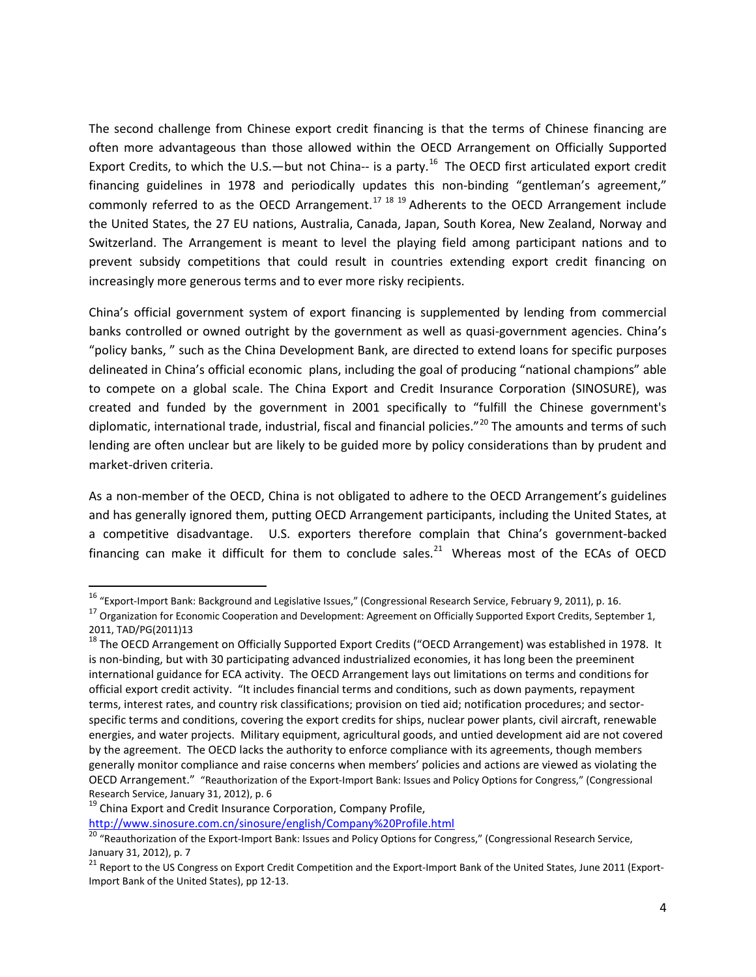The second challenge from Chinese export credit financing is that the terms of Chinese financing are often more advantageous than those allowed within the OECD Arrangement on Officially Supported Export Credits, to which the U.S.—but not China-- is a party.<sup>16</sup> The OECD first articulated export credit financing guidelines in 1978 and periodically updates this non-binding "gentleman's agreement," commonly referred to as the OECD Arrangement.<sup>[17](#page-3-1) [18](#page-3-2) [19](#page-3-3)</sup> Adherents to the OECD Arrangement include the United States, the 27 EU nations, Australia, Canada, Japan, South Korea, New Zealand, Norway and Switzerland. The Arrangement is meant to level the playing field among participant nations and to prevent subsidy competitions that could result in countries extending export credit financing on increasingly more generous terms and to ever more risky recipients.

China's official government system of export financing is supplemented by lending from commercial banks controlled or owned outright by the government as well as quasi-government agencies. China's "policy banks, " such as the China Development Bank, are directed to extend loans for specific purposes delineated in China's official economic plans, including the goal of producing "national champions" able to compete on a global scale. The China Export and Credit Insurance Corporation (SINOSURE), was created and funded by the government in 2001 specifically to "fulfill the Chinese government's diplomatic, international trade, industrial, fiscal and financial policies."<sup>[20](#page-3-4)</sup> The amounts and terms of such lending are often unclear but are likely to be guided more by policy considerations than by prudent and market-driven criteria.

As a non-member of the OECD, China is not obligated to adhere to the OECD Arrangement's guidelines and has generally ignored them, putting OECD Arrangement participants, including the United States, at a competitive disadvantage. U.S. exporters therefore complain that China's government-backed financing can make it difficult for them to conclude sales.<sup>[21](#page-3-5)</sup> Whereas most of the ECAs of OECD

<http://www.sinosure.com.cn/sinosure/english/Company%20Profile.html>

<span id="page-3-0"></span> <sup>16</sup> "Export-Import Bank: Background and Legislative Issues," (Congressional Research Service, February 9, 2011), p. 16.

<span id="page-3-1"></span><sup>&</sup>lt;sup>17</sup> Organization for Economic Cooperation and Development: Agreement on Officially Supported Export Credits, September 1, 2011, TAD/PG(2011)13

<span id="page-3-2"></span><sup>&</sup>lt;sup>18</sup> The OECD Arrangement on Officially Supported Export Credits ("OECD Arrangement) was established in 1978. It is non-binding, but with 30 participating advanced industrialized economies, it has long been the preeminent international guidance for ECA activity. The OECD Arrangement lays out limitations on terms and conditions for official export credit activity. "It includes financial terms and conditions, such as down payments, repayment terms, interest rates, and country risk classifications; provision on tied aid; notification procedures; and sectorspecific terms and conditions, covering the export credits for ships, nuclear power plants, civil aircraft, renewable energies, and water projects. Military equipment, agricultural goods, and untied development aid are not covered by the agreement. The OECD lacks the authority to enforce compliance with its agreements, though members generally monitor compliance and raise concerns when members' policies and actions are viewed as violating the OECD Arrangement." "Reauthorization of the Export-Import Bank: Issues and Policy Options for Congress," (Congressional Research Service, January 31, 2012), p. 6<br><sup>19</sup> China Export and Credit Insurance Corporation, Company Profile,

<span id="page-3-3"></span>

<span id="page-3-4"></span><sup>20 &</sup>quot;Reauthorization of the Export-Import Bank: Issues and Policy Options for Congress," (Congressional Research Service, January 31, 2012), p. 7

<span id="page-3-5"></span><sup>21</sup> Report to the US Congress on Export Credit Competition and the Export-Import Bank of the United States, June 2011 (Export-Import Bank of the United States), pp 12-13.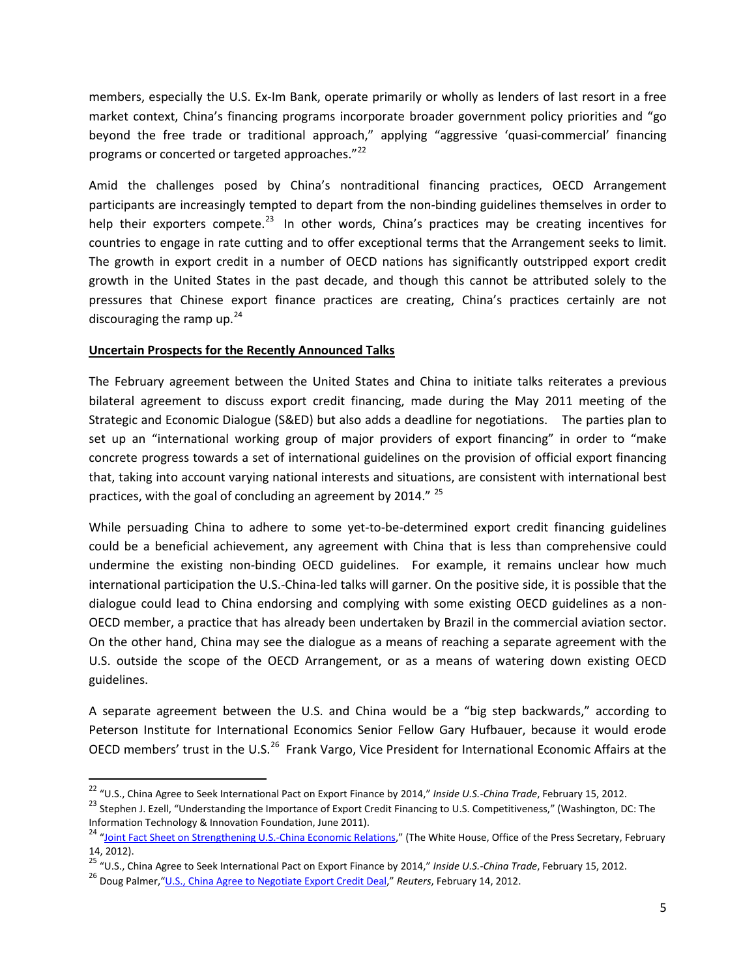members, especially the U.S. Ex-Im Bank, operate primarily or wholly as lenders of last resort in a free market context, China's financing programs incorporate broader government policy priorities and "go beyond the free trade or traditional approach," applying "aggressive 'quasi-commercial' financing programs or concerted or targeted approaches."<sup>[22](#page-4-0)</sup>

Amid the challenges posed by China's nontraditional financing practices, OECD Arrangement participants are increasingly tempted to depart from the non-binding guidelines themselves in order to help their exporters compete.<sup>[23](#page-4-1)</sup> In other words, China's practices may be creating incentives for countries to engage in rate cutting and to offer exceptional terms that the Arrangement seeks to limit. The growth in export credit in a number of OECD nations has significantly outstripped export credit growth in the United States in the past decade, and though this cannot be attributed solely to the pressures that Chinese export finance practices are creating, China's practices certainly are not discouraging the ramp up.<sup>[24](#page-4-2)</sup>

### **Uncertain Prospects for the Recently Announced Talks**

The February agreement between the United States and China to initiate talks reiterates a previous bilateral agreement to discuss export credit financing, made during the May 2011 meeting of the Strategic and Economic Dialogue (S&ED) but also adds a deadline for negotiations. The parties plan to set up an "international working group of major providers of export financing" in order to "make concrete progress towards a set of international guidelines on the provision of official export financing that, taking into account varying national interests and situations, are consistent with international best practices, with the goal of concluding an agreement by 2014."<sup>[25](#page-4-3)</sup>

While persuading China to adhere to some yet-to-be-determined export credit financing guidelines could be a beneficial achievement, any agreement with China that is less than comprehensive could undermine the existing non-binding OECD guidelines. For example, it remains unclear how much international participation the U.S.-China-led talks will garner. On the positive side, it is possible that the dialogue could lead to China endorsing and complying with some existing OECD guidelines as a non-OECD member, a practice that has already been undertaken by Brazil in the commercial aviation sector. On the other hand, China may see the dialogue as a means of reaching a separate agreement with the U.S. outside the scope of the OECD Arrangement, or as a means of watering down existing OECD guidelines.

A separate agreement between the U.S. and China would be a "big step backwards," according to Peterson Institute for International Economics Senior Fellow Gary Hufbauer, because it would erode OECD members' trust in the U.S.<sup>[26](#page-4-4)</sup> Frank Vargo, Vice President for International Economic Affairs at the

<span id="page-4-0"></span> <sup>22</sup> "U.S., China Agree to Seek International Pact on Export Finance by 2014," *Inside U.S.-China Trade*, February 15, 2012.

<span id="page-4-1"></span><sup>&</sup>lt;sup>23</sup> Stephen J. Ezell, "Understanding the Importance of Export Credit Financing to U.S. Competitiveness," (Washington, DC: The<br>Information Technology & Innovation Foundation, June 2011).

<span id="page-4-2"></span><sup>&</sup>lt;sup>24</sup> ["Joint Fact Sheet on Strengthening U.S.-China Economic Relations,"](http://www.whitehouse.gov/the-press-office/2012/02/14/joint-fact-sheet-strengthening-us-china-economic-relations) (The White House, Office of the Press Secretary, February 14, 2012).

<span id="page-4-3"></span><sup>&</sup>lt;sup>25</sup> "U.S., China Agree to Seek International Pact on Export Finance by 2014," *Inside U.S.-China Trade*, February 15, 2012.<br><sup>26</sup> Doug Palmer. ["U.S., China Agree to Negotiate Export Credit Deal,"](http://www.reuters.com/article/2012/02/14/us-usa-china-exportcredits-idUSTRE81D1YV20120214) Reuters, February 14, 2012

<span id="page-4-4"></span>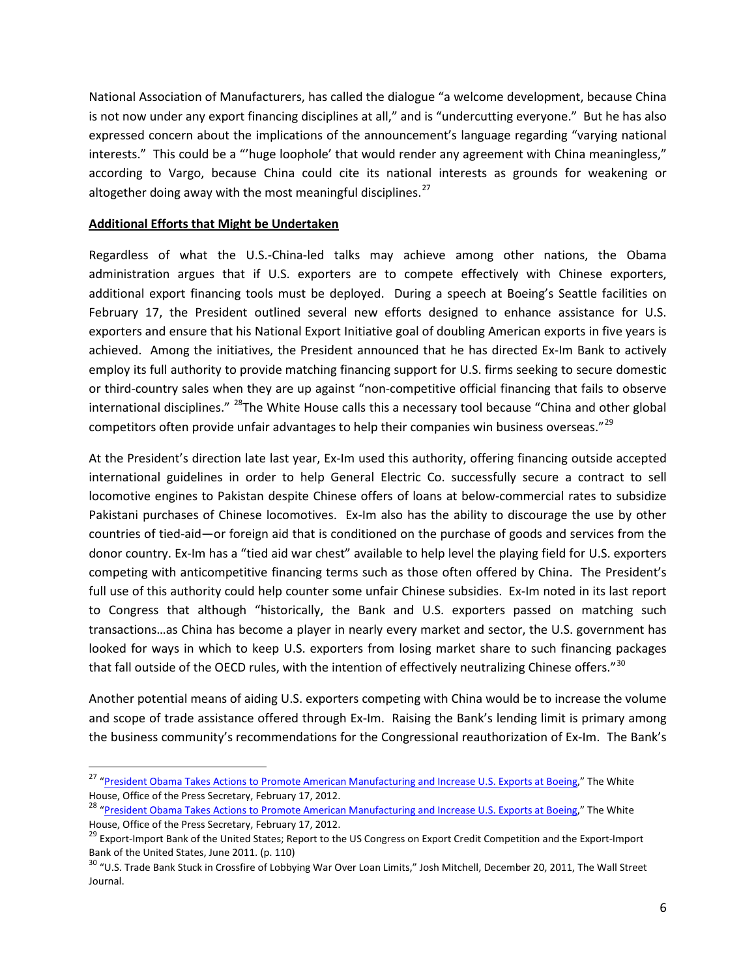National Association of Manufacturers, has called the dialogue "a welcome development, because China is not now under any export financing disciplines at all," and is "undercutting everyone." But he has also expressed concern about the implications of the announcement's language regarding "varying national interests." This could be a "'huge loophole' that would render any agreement with China meaningless," according to Vargo, because China could cite its national interests as grounds for weakening or altogether doing away with the most meaningful disciplines.<sup>[27](#page-5-0)</sup>

### **Additional Efforts that Might be Undertaken**

Regardless of what the U.S.-China-led talks may achieve among other nations, the Obama administration argues that if U.S. exporters are to compete effectively with Chinese exporters, additional export financing tools must be deployed. During a speech at Boeing's Seattle facilities on February 17, the President outlined several new efforts designed to enhance assistance for U.S. exporters and ensure that his National Export Initiative goal of doubling American exports in five years is achieved. Among the initiatives, the President announced that he has directed Ex-Im Bank to actively employ its full authority to provide matching financing support for U.S. firms seeking to secure domestic or third-country sales when they are up against "non-competitive official financing that fails to observe international disciplines." <sup>28</sup>The White House calls this a necessary tool because "China and other global competitors often provide unfair advantages to help their companies win business overseas."<sup>[29](#page-5-2)</sup>

At the President's direction late last year, Ex-Im used this authority, offering financing outside accepted international guidelines in order to help General Electric Co. successfully secure a contract to sell locomotive engines to Pakistan despite Chinese offers of loans at below-commercial rates to subsidize Pakistani purchases of Chinese locomotives. Ex-Im also has the ability to discourage the use by other countries of tied-aid—or foreign aid that is conditioned on the purchase of goods and services from the donor country. Ex-Im has a "tied aid war chest" available to help level the playing field for U.S. exporters competing with anticompetitive financing terms such as those often offered by China. The President's full use of this authority could help counter some unfair Chinese subsidies. Ex-Im noted in its last report to Congress that although "historically, the Bank and U.S. exporters passed on matching such transactions…as China has become a player in nearly every market and sector, the U.S. government has looked for ways in which to keep U.S. exporters from losing market share to such financing packages that fall outside of the OECD rules, with the intention of effectively neutralizing Chinese offers."<sup>[30](#page-5-3)</sup>

Another potential means of aiding U.S. exporters competing with China would be to increase the volume and scope of trade assistance offered through Ex-Im. Raising the Bank's lending limit is primary among the business community's recommendations for the Congressional reauthorization of Ex-Im. The Bank's

<span id="page-5-0"></span><sup>&</sup>lt;sup>27</sup> "President Obama Takes Actions to [Promote American Manufacturing and Increase U.S. Exports at Boeing,](http://www.whitehouse.gov/the-press-office/2012/02/17/president-obama-takes-actions-promote-american-manufacturing-and-increas)" The White House, Office of the Press Secretary, February 17, 2012.

<span id="page-5-1"></span><sup>&</sup>lt;sup>28</sup> ["President Obama Takes Actions to Promote American Manufacturing and Increase U.S. Exports at Boeing,](http://www.whitehouse.gov/the-press-office/2012/02/17/president-obama-takes-actions-promote-american-manufacturing-and-increas)" The White House, Office of the Press Secretary, February 17, 2012.

<span id="page-5-2"></span><sup>&</sup>lt;sup>29</sup> Export-Import Bank of the United States; Report to the US Congress on Export Credit Competition and the Export-Import Bank of the United States, June 2011. (p. 110)

<span id="page-5-3"></span><sup>&</sup>lt;sup>30</sup> "U.S. Trade Bank Stuck in Crossfire of Lobbying War Over Loan Limits," Josh Mitchell, December 20, 2011, The Wall Street Journal.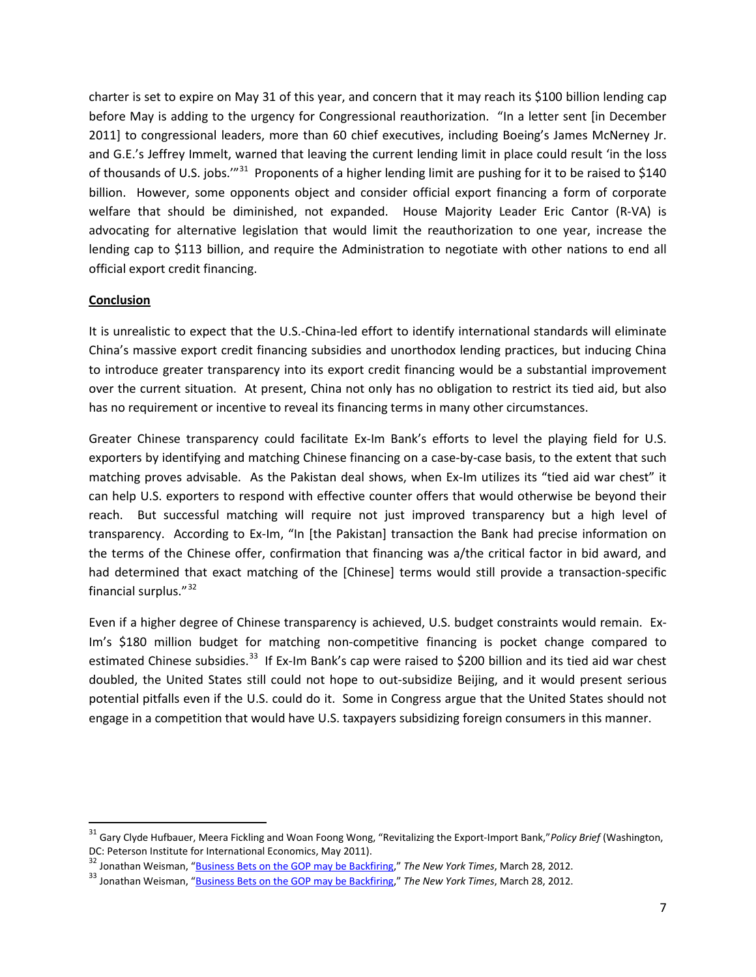charter is set to expire on May 31 of this year, and concern that it may reach its \$100 billion lending cap before May is adding to the urgency for Congressional reauthorization. "In a letter sent [in December 2011] to congressional leaders, more than 60 chief executives, including Boeing's James McNerney Jr. and G.E.'s Jeffrey Immelt, warned that leaving the current lending limit in place could result 'in the loss of thousands of U.S. jobs.'"<sup>[31](#page-6-0)</sup> Proponents of a higher lending limit are pushing for it to be raised to \$140 billion. However, some opponents object and consider official export financing a form of corporate welfare that should be diminished, not expanded. House Majority Leader Eric Cantor (R-VA) is advocating for alternative legislation that would limit the reauthorization to one year, increase the lending cap to \$113 billion, and require the Administration to negotiate with other nations to end all official export credit financing.

### **Conclusion**

It is unrealistic to expect that the U.S.-China-led effort to identify international standards will eliminate China's massive export credit financing subsidies and unorthodox lending practices, but inducing China to introduce greater transparency into its export credit financing would be a substantial improvement over the current situation. At present, China not only has no obligation to restrict its tied aid, but also has no requirement or incentive to reveal its financing terms in many other circumstances.

Greater Chinese transparency could facilitate Ex-Im Bank's efforts to level the playing field for U.S. exporters by identifying and matching Chinese financing on a case-by-case basis, to the extent that such matching proves advisable. As the Pakistan deal shows, when Ex-Im utilizes its "tied aid war chest" it can help U.S. exporters to respond with effective counter offers that would otherwise be beyond their reach. But successful matching will require not just improved transparency but a high level of transparency. According to Ex-Im, "In [the Pakistan] transaction the Bank had precise information on the terms of the Chinese offer, confirmation that financing was a/the critical factor in bid award, and had determined that exact matching of the [Chinese] terms would still provide a transaction-specific financial surplus."[32](#page-6-1)

Even if a higher degree of Chinese transparency is achieved, U.S. budget constraints would remain. Ex-Im's \$180 million budget for matching non-competitive financing is pocket change compared to estimated Chinese subsidies.<sup>[33](#page-6-2)</sup> If Ex-Im Bank's cap were raised to \$200 billion and its tied aid war chest doubled, the United States still could not hope to out-subsidize Beijing, and it would present serious potential pitfalls even if the U.S. could do it. Some in Congress argue that the United States should not engage in a competition that would have U.S. taxpayers subsidizing foreign consumers in this manner.

<span id="page-6-0"></span> <sup>31</sup> Gary Clyde Hufbauer, Meera Fickling and Woan Foong Wong, "Revitalizing the Export-Import Bank,"*Policy Brief* (Washington, DC: Peterson Institute for International Economics, May 2011).<br><sup>32</sup> Jonathan Weisman, "Business Bets on the GOP may be Backfiring," The New York Times, March 28, 2012.

<span id="page-6-2"></span><span id="page-6-1"></span><sup>&</sup>lt;sup>33</sup> Jonathan Weisman, ["Business Bets on the GOP may be Backfiring,](http://www.nytimes.com/2012/03/29/business/with-bank-teetering-a-bet-on-the-gop-backfires.html)" *The New York Times*, March 28, 2012.